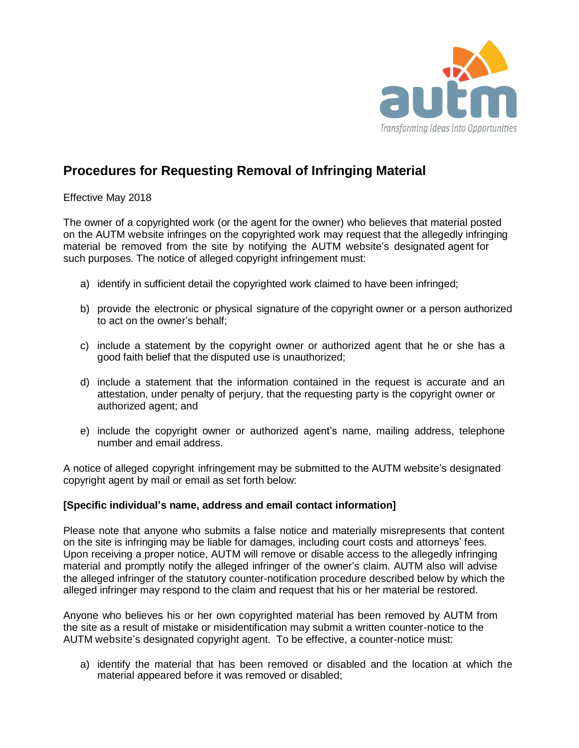

## **Procedures for Requesting Removal of Infringing Material**

Effective May 2018

The owner of a copyrighted work (or the agent for the owner) who believes that material posted on the AUTM website infringes on the copyrighted work may request that the allegedly infringing material be removed from the site by notifying the AUTM website's designated agent for such purposes. The notice of alleged copyright infringement must:

- a) identify in sufficient detail the copyrighted work claimed to have been infringed;
- b) provide the electronic or physical signature of the copyright owner or a person authorized to act on the owner's behalf;
- c) include a statement by the copyright owner or authorized agent that he or she has a good faith belief that the disputed use is unauthorized;
- d) include a statement that the information contained in the request is accurate and an attestation, under penalty of perjury, that the requesting party is the copyright owner or authorized agent; and
- e) include the copyright owner or authorized agent's name, mailing address, telephone number and email address.

A notice of alleged copyright infringement may be submitted to the AUTM website's designated copyright agent by mail or email as set forth below:

## **[Specific individual's name, address and email contact information]**

Please note that anyone who submits a false notice and materially misrepresents that content on the site is infringing may be liable for damages, including court costs and attorneys' fees. Upon receiving a proper notice, AUTM will remove or disable access to the allegedly infringing material and promptly notify the alleged infringer of the owner's claim. AUTM also will advise the alleged infringer of the statutory counter-notification procedure described below by which the alleged infringer may respond to the claim and request that his or her material be restored.

Anyone who believes his or her own copyrighted material has been removed by AUTM from the site as a result of mistake or misidentification may submit a written counter-notice to the AUTM website's designated copyright agent. To be effective, a counter-notice must:

a) identify the material that has been removed or disabled and the location at which the material appeared before it was removed or disabled;